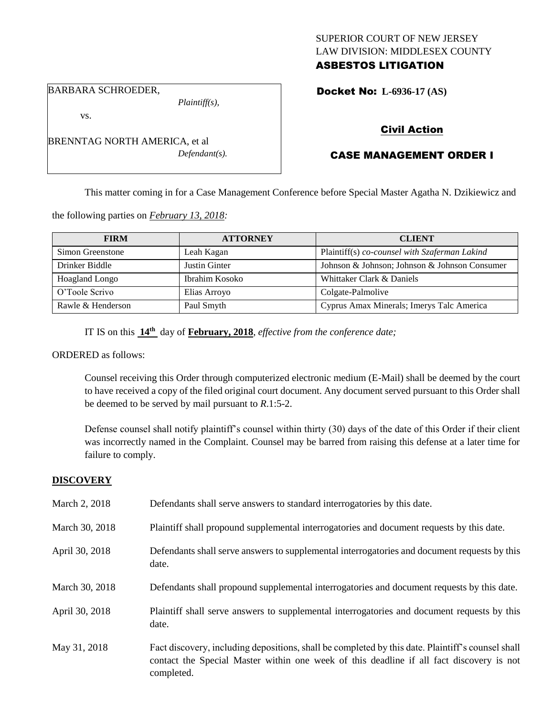### SUPERIOR COURT OF NEW JERSEY LAW DIVISION: MIDDLESEX COUNTY ASBESTOS LITIGATION

#### BARBARA SCHROEDER,

*Plaintiff(s),*

Docket No: **L-6936-17 (AS)** 

#### vs.

BRENNTAG NORTH AMERICA, et al *Defendant(s).*

### Civil Action

## CASE MANAGEMENT ORDER I

This matter coming in for a Case Management Conference before Special Master Agatha N. Dzikiewicz and

the following parties on *February 13, 2018:*

| <b>FIRM</b>       | <b>ATTORNEY</b> | <b>CLIENT</b>                                 |
|-------------------|-----------------|-----------------------------------------------|
| Simon Greenstone  | Leah Kagan      | Plaintiff(s) co-counsel with Szaferman Lakind |
| Drinker Biddle    | Justin Ginter   | Johnson & Johnson; Johnson & Johnson Consumer |
| Hoagland Longo    | Ibrahim Kosoko  | Whittaker Clark & Daniels                     |
| O'Toole Scrivo    | Elias Arroyo    | Colgate-Palmolive                             |
| Rawle & Henderson | Paul Smyth      | Cyprus Amax Minerals; Imerys Talc America     |

IT IS on this **14th** day of **February, 2018**, *effective from the conference date;*

#### ORDERED as follows:

Counsel receiving this Order through computerized electronic medium (E-Mail) shall be deemed by the court to have received a copy of the filed original court document. Any document served pursuant to this Order shall be deemed to be served by mail pursuant to *R*.1:5-2.

Defense counsel shall notify plaintiff's counsel within thirty (30) days of the date of this Order if their client was incorrectly named in the Complaint. Counsel may be barred from raising this defense at a later time for failure to comply.

#### **DISCOVERY**

| March 2, 2018  | Defendants shall serve answers to standard interrogatories by this date.                                                                                                                                    |
|----------------|-------------------------------------------------------------------------------------------------------------------------------------------------------------------------------------------------------------|
| March 30, 2018 | Plaintiff shall propound supplemental interrogatories and document requests by this date.                                                                                                                   |
| April 30, 2018 | Defendants shall serve answers to supplemental interrogatories and document requests by this<br>date.                                                                                                       |
| March 30, 2018 | Defendants shall propound supplemental interrogatories and document requests by this date.                                                                                                                  |
| April 30, 2018 | Plaintiff shall serve answers to supplemental interrogatories and document requests by this<br>date.                                                                                                        |
| May 31, 2018   | Fact discovery, including depositions, shall be completed by this date. Plaintiff's counsel shall<br>contact the Special Master within one week of this deadline if all fact discovery is not<br>completed. |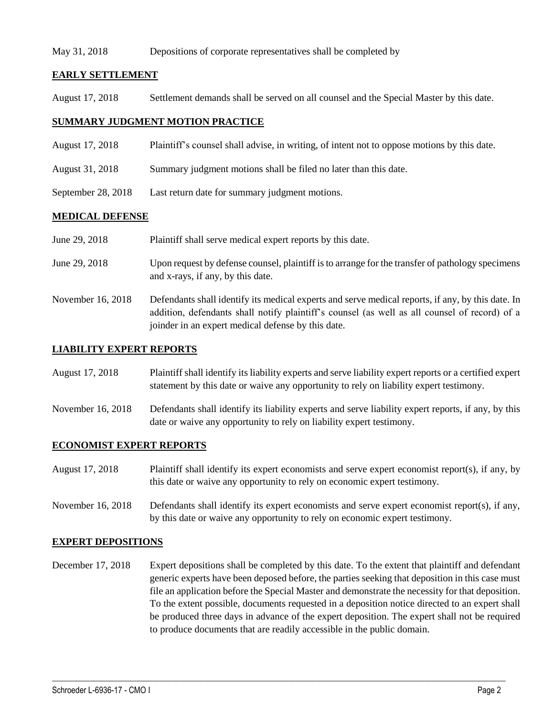#### May 31, 2018 Depositions of corporate representatives shall be completed by

### **EARLY SETTLEMENT**

August 17, 2018 Settlement demands shall be served on all counsel and the Special Master by this date.

### **SUMMARY JUDGMENT MOTION PRACTICE**

- August 17, 2018 Plaintiff's counsel shall advise, in writing, of intent not to oppose motions by this date.
- August 31, 2018 Summary judgment motions shall be filed no later than this date.
- September 28, 2018 Last return date for summary judgment motions.

### **MEDICAL DEFENSE**

| June 29, 2018 | Plaintiff shall serve medical expert reports by this date. |
|---------------|------------------------------------------------------------|
|               |                                                            |
|               |                                                            |

- June 29, 2018 Upon request by defense counsel, plaintiff is to arrange for the transfer of pathology specimens and x-rays, if any, by this date.
- November 16, 2018 Defendants shall identify its medical experts and serve medical reports, if any, by this date. In addition, defendants shall notify plaintiff's counsel (as well as all counsel of record) of a joinder in an expert medical defense by this date.

### **LIABILITY EXPERT REPORTS**

- August 17, 2018 Plaintiff shall identify its liability experts and serve liability expert reports or a certified expert statement by this date or waive any opportunity to rely on liability expert testimony.
- November 16, 2018 Defendants shall identify its liability experts and serve liability expert reports, if any, by this date or waive any opportunity to rely on liability expert testimony.

### **ECONOMIST EXPERT REPORTS**

- August 17, 2018 Plaintiff shall identify its expert economists and serve expert economist report(s), if any, by this date or waive any opportunity to rely on economic expert testimony.
- November 16, 2018 Defendants shall identify its expert economists and serve expert economist report(s), if any, by this date or waive any opportunity to rely on economic expert testimony.

### **EXPERT DEPOSITIONS**

December 17, 2018 Expert depositions shall be completed by this date. To the extent that plaintiff and defendant generic experts have been deposed before, the parties seeking that deposition in this case must file an application before the Special Master and demonstrate the necessity for that deposition. To the extent possible, documents requested in a deposition notice directed to an expert shall be produced three days in advance of the expert deposition. The expert shall not be required to produce documents that are readily accessible in the public domain.

 $\_$  ,  $\_$  ,  $\_$  ,  $\_$  ,  $\_$  ,  $\_$  ,  $\_$  ,  $\_$  ,  $\_$  ,  $\_$  ,  $\_$  ,  $\_$  ,  $\_$  ,  $\_$  ,  $\_$  ,  $\_$  ,  $\_$  ,  $\_$  ,  $\_$  ,  $\_$  ,  $\_$  ,  $\_$  ,  $\_$  ,  $\_$  ,  $\_$  ,  $\_$  ,  $\_$  ,  $\_$  ,  $\_$  ,  $\_$  ,  $\_$  ,  $\_$  ,  $\_$  ,  $\_$  ,  $\_$  ,  $\_$  ,  $\_$  ,